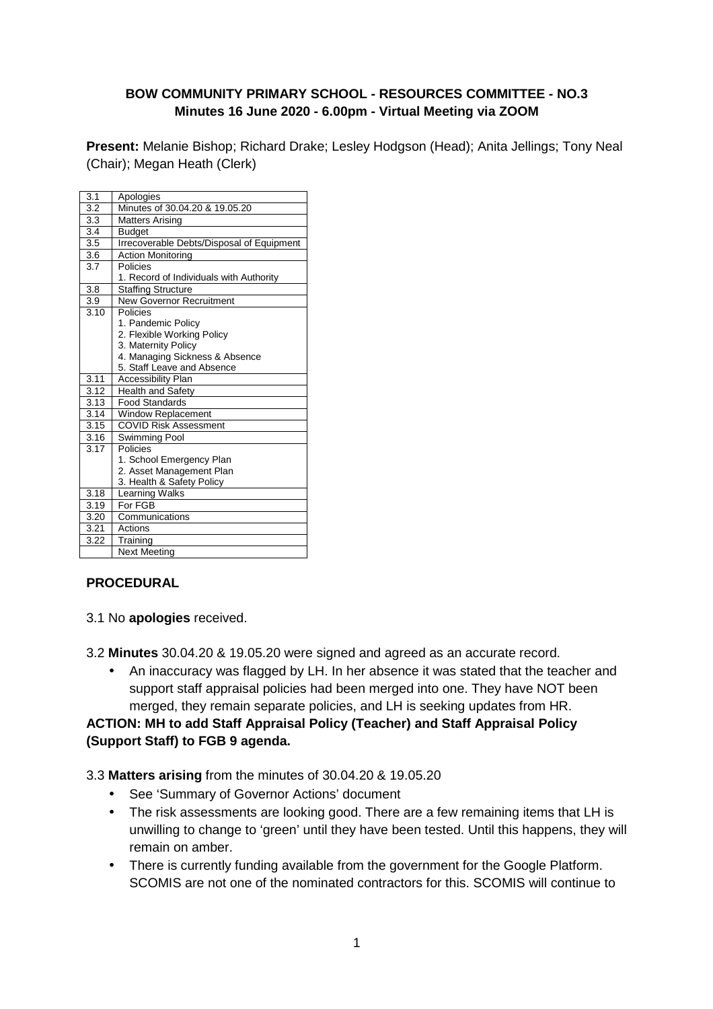### **BOW COMMUNITY PRIMARY SCHOOL - RESOURCES COMMITTEE - NO.3 Minutes 16 June 2020 - 6.00pm - Virtual Meeting via ZOOM**

**Present:** Melanie Bishop; Richard Drake; Lesley Hodgson (Head); Anita Jellings; Tony Neal (Chair); Megan Heath (Clerk)

| 3.1              | Apologies                                 |
|------------------|-------------------------------------------|
| 3.2              | Minutes of 30.04.20 & 19.05.20            |
| $\overline{3.3}$ | <b>Matters Arising</b>                    |
| 3.4              | <b>Budget</b>                             |
| 3.5              | Irrecoverable Debts/Disposal of Equipment |
| 3.6              | <b>Action Monitoring</b>                  |
| 3.7              | Policies                                  |
|                  | 1. Record of Individuals with Authority   |
| 3.8              | <b>Staffing Structure</b>                 |
| 3.9              | <b>New Governor Recruitment</b>           |
| 3.10             | Policies                                  |
|                  | 1. Pandemic Policy                        |
|                  | 2. Flexible Working Policy                |
|                  | 3. Maternity Policy                       |
|                  | 4. Managing Sickness & Absence            |
|                  | 5. Staff Leave and Absence                |
| 3.11             | <b>Accessibility Plan</b>                 |
| 3.12             | <b>Health and Safety</b>                  |
| 3.13             | <b>Food Standards</b>                     |
| 3.14             | <b>Window Replacement</b>                 |
| 3.15             | <b>COVID Risk Assessment</b>              |
| 3.16             | Swimming Pool                             |
| 3.17             | Policies                                  |
|                  | 1. School Emergency Plan                  |
|                  | 2. Asset Management Plan                  |
|                  | 3. Health & Safety Policy                 |
| 3.18             | Learning Walks                            |
| 3.19             | For FGB                                   |
| 3.20             | Communications                            |
| 3.21             | Actions                                   |
| 3.22             | Training                                  |
|                  | <b>Next Meeting</b>                       |

### **PROCEDURAL**

### 3.1 No **apologies** received.

3.2 **Minutes** 30.04.20 & 19.05.20 were signed and agreed as an accurate record.

• An inaccuracy was flagged by LH. In her absence it was stated that the teacher and support staff appraisal policies had been merged into one. They have NOT been merged, they remain separate policies, and LH is seeking updates from HR.

## **ACTION: MH to add Staff Appraisal Policy (Teacher) and Staff Appraisal Policy (Support Staff) to FGB 9 agenda.**

#### 3.3 **Matters arising** from the minutes of 30.04.20 & 19.05.20

- See 'Summary of Governor Actions' document
- The risk assessments are looking good. There are a few remaining items that LH is unwilling to change to 'green' until they have been tested. Until this happens, they will remain on amber.
- There is currently funding available from the government for the Google Platform. SCOMIS are not one of the nominated contractors for this. SCOMIS will continue to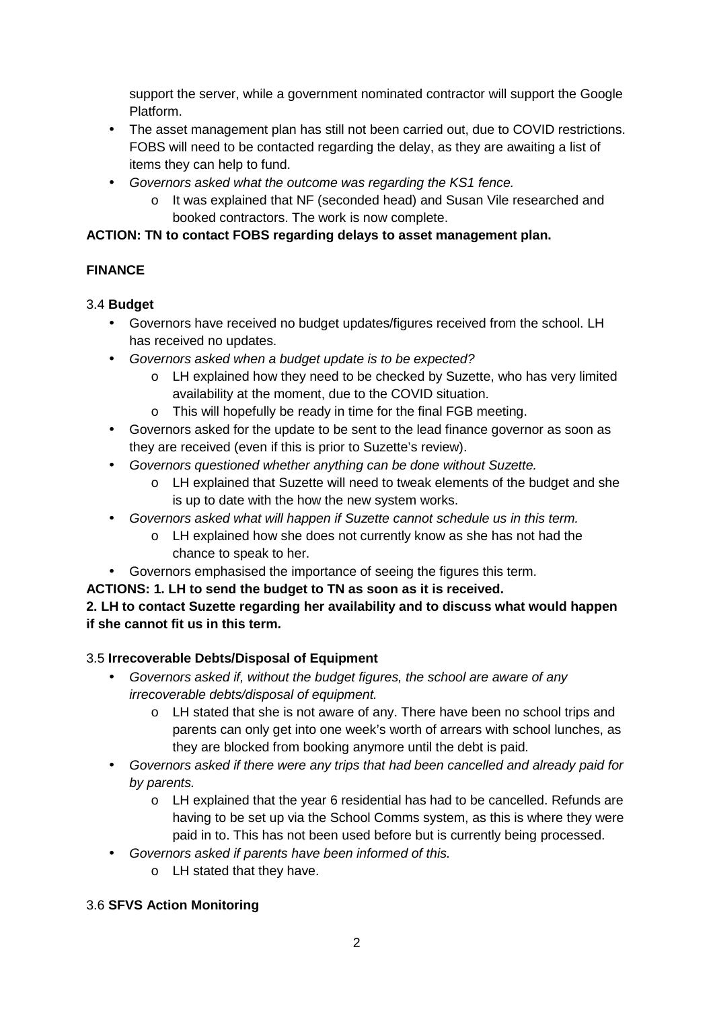support the server, while a government nominated contractor will support the Google Platform.

- The asset management plan has still not been carried out, due to COVID restrictions. FOBS will need to be contacted regarding the delay, as they are awaiting a list of items they can help to fund.
- Governors asked what the outcome was regarding the KS1 fence.
	- o It was explained that NF (seconded head) and Susan Vile researched and booked contractors. The work is now complete.

## **ACTION: TN to contact FOBS regarding delays to asset management plan.**

## **FINANCE**

## 3.4 **Budget**

- Governors have received no budget updates/figures received from the school. LH has received no updates.
- Governors asked when a budget update is to be expected?
	- $\circ$  LH explained how they need to be checked by Suzette, who has very limited availability at the moment, due to the COVID situation.
	- o This will hopefully be ready in time for the final FGB meeting.
- Governors asked for the update to be sent to the lead finance governor as soon as they are received (even if this is prior to Suzette's review).
- Governors questioned whether anything can be done without Suzette.
	- o LH explained that Suzette will need to tweak elements of the budget and she is up to date with the how the new system works.
- Governors asked what will happen if Suzette cannot schedule us in this term.
	- o LH explained how she does not currently know as she has not had the chance to speak to her.
- Governors emphasised the importance of seeing the figures this term.

### **ACTIONS: 1. LH to send the budget to TN as soon as it is received.**

## **2. LH to contact Suzette regarding her availability and to discuss what would happen if she cannot fit us in this term.**

# 3.5 **Irrecoverable Debts/Disposal of Equipment**

- Governors asked if, without the budget figures, the school are aware of any irrecoverable debts/disposal of equipment.
	- o LH stated that she is not aware of any. There have been no school trips and parents can only get into one week's worth of arrears with school lunches, as they are blocked from booking anymore until the debt is paid.
- Governors asked if there were any trips that had been cancelled and already paid for by parents.
	- o LH explained that the year 6 residential has had to be cancelled. Refunds are having to be set up via the School Comms system, as this is where they were paid in to. This has not been used before but is currently being processed.
- Governors asked if parents have been informed of this.
	- o LH stated that they have.

### 3.6 **SFVS Action Monitoring**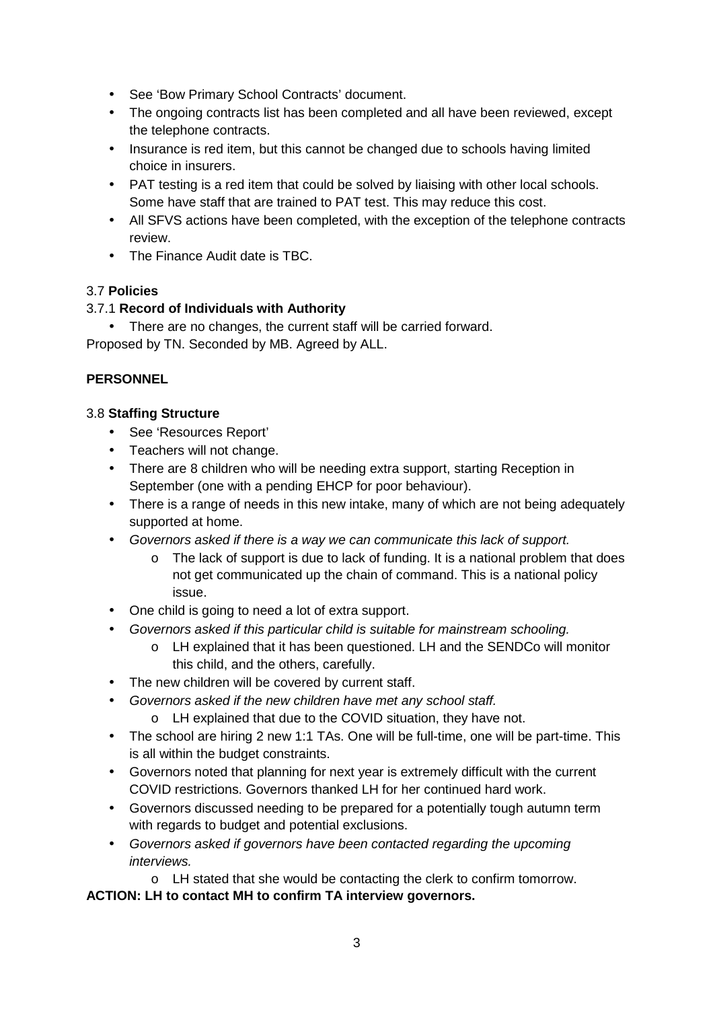- See 'Bow Primary School Contracts' document.
- The ongoing contracts list has been completed and all have been reviewed, except the telephone contracts.
- Insurance is red item, but this cannot be changed due to schools having limited choice in insurers.
- PAT testing is a red item that could be solved by liaising with other local schools. Some have staff that are trained to PAT test. This may reduce this cost.
- All SFVS actions have been completed, with the exception of the telephone contracts review.
- The Finance Audit date is TBC.

## 3.7 **Policies**

## 3.7.1 **Record of Individuals with Authority**

• There are no changes, the current staff will be carried forward. Proposed by TN. Seconded by MB. Agreed by ALL.

## **PERSONNEL**

## 3.8 **Staffing Structure**

- See 'Resources Report'
- Teachers will not change.
- There are 8 children who will be needing extra support, starting Reception in September (one with a pending EHCP for poor behaviour).
- There is a range of needs in this new intake, many of which are not being adequately supported at home.
- Governors asked if there is a way we can communicate this lack of support.
	- $\circ$  The lack of support is due to lack of funding. It is a national problem that does not get communicated up the chain of command. This is a national policy issue.
- One child is going to need a lot of extra support.
- Governors asked if this particular child is suitable for mainstream schooling.
	- o LH explained that it has been questioned. LH and the SENDCo will monitor this child, and the others, carefully.
- The new children will be covered by current staff.
- Governors asked if the new children have met any school staff.
	- o LH explained that due to the COVID situation, they have not.
- The school are hiring 2 new 1:1 TAs. One will be full-time, one will be part-time. This is all within the budget constraints.
- Governors noted that planning for next year is extremely difficult with the current COVID restrictions. Governors thanked LH for her continued hard work.
- Governors discussed needing to be prepared for a potentially tough autumn term with regards to budget and potential exclusions.
- Governors asked if governors have been contacted regarding the upcoming interviews.
	- o LH stated that she would be contacting the clerk to confirm tomorrow.

**ACTION: LH to contact MH to confirm TA interview governors.**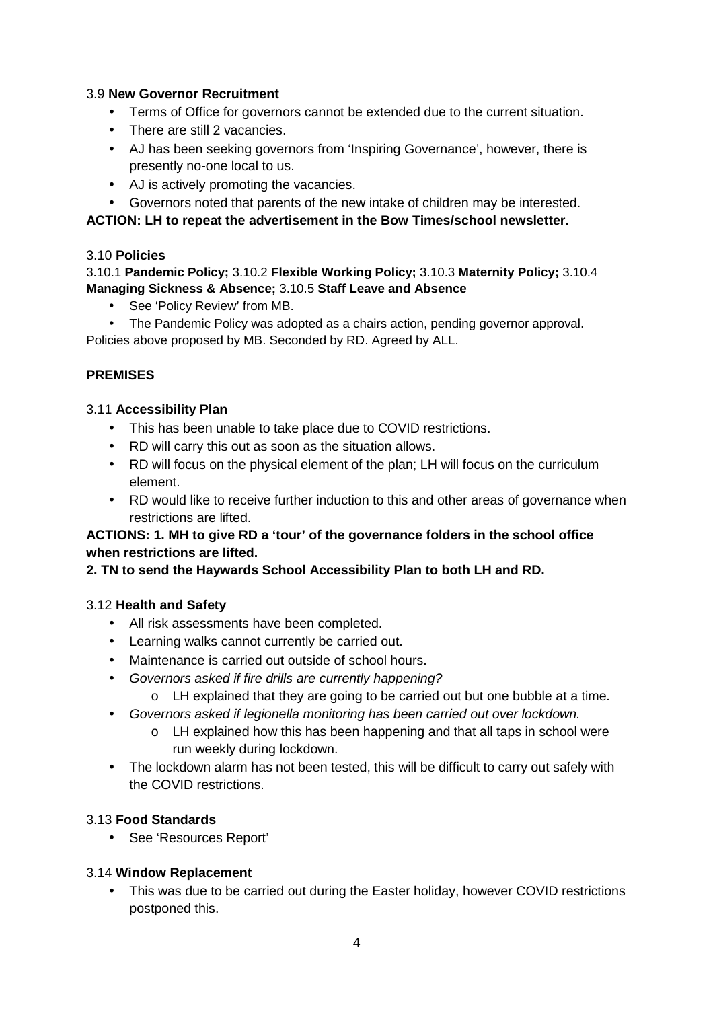### 3.9 **New Governor Recruitment**

- Terms of Office for governors cannot be extended due to the current situation.
- There are still 2 vacancies.
- AJ has been seeking governors from 'Inspiring Governance', however, there is presently no-one local to us.
- AJ is actively promoting the vacancies.
- Governors noted that parents of the new intake of children may be interested.

**ACTION: LH to repeat the advertisement in the Bow Times/school newsletter.** 

#### 3.10 **Policies**

3.10.1 **Pandemic Policy;** 3.10.2 **Flexible Working Policy;** 3.10.3 **Maternity Policy;** 3.10.4 **Managing Sickness & Absence;** 3.10.5 **Staff Leave and Absence** 

- See 'Policy Review' from MB.
- The Pandemic Policy was adopted as a chairs action, pending governor approval.

Policies above proposed by MB. Seconded by RD. Agreed by ALL.

### **PREMISES**

#### 3.11 **Accessibility Plan**

- This has been unable to take place due to COVID restrictions.
- RD will carry this out as soon as the situation allows.
- RD will focus on the physical element of the plan; LH will focus on the curriculum element.
- RD would like to receive further induction to this and other areas of governance when restrictions are lifted.

### **ACTIONS: 1. MH to give RD a 'tour' of the governance folders in the school office when restrictions are lifted.**

### **2. TN to send the Haywards School Accessibility Plan to both LH and RD.**

### 3.12 **Health and Safety**

- All risk assessments have been completed.
- Learning walks cannot currently be carried out.
- Maintenance is carried out outside of school hours.
- Governors asked if fire drills are currently happening?
	- $\circ$  LH explained that they are going to be carried out but one bubble at a time.
- Governors asked if legionella monitoring has been carried out over lockdown.
	- o LH explained how this has been happening and that all taps in school were run weekly during lockdown.
- The lockdown alarm has not been tested, this will be difficult to carry out safely with the COVID restrictions.

### 3.13 **Food Standards**

• See 'Resources Report'

### 3.14 **Window Replacement**

• This was due to be carried out during the Easter holiday, however COVID restrictions postponed this.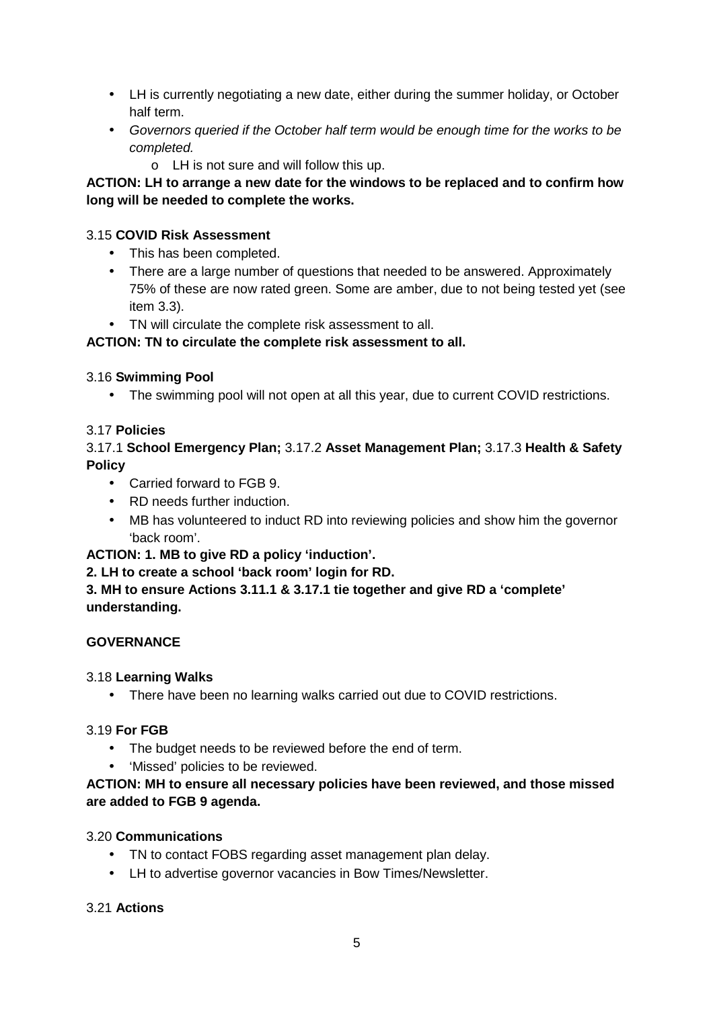- LH is currently negotiating a new date, either during the summer holiday, or October half term.
- Governors queried if the October half term would be enough time for the works to be completed.
	- o LH is not sure and will follow this up.

## **ACTION: LH to arrange a new date for the windows to be replaced and to confirm how long will be needed to complete the works.**

## 3.15 **COVID Risk Assessment**

- This has been completed.
- There are a large number of questions that needed to be answered. Approximately 75% of these are now rated green. Some are amber, due to not being tested yet (see item 3.3).
- TN will circulate the complete risk assessment to all.

# **ACTION: TN to circulate the complete risk assessment to all.**

## 3.16 **Swimming Pool**

• The swimming pool will not open at all this year, due to current COVID restrictions.

## 3.17 **Policies**

## 3.17.1 **School Emergency Plan;** 3.17.2 **Asset Management Plan;** 3.17.3 **Health & Safety Policy**

- Carried forward to FGB 9.
- RD needs further induction.
- MB has volunteered to induct RD into reviewing policies and show him the governor 'back room'.

### **ACTION: 1. MB to give RD a policy 'induction'.**

**2. LH to create a school 'back room' login for RD.** 

### **3. MH to ensure Actions 3.11.1 & 3.17.1 tie together and give RD a 'complete' understanding.**

# **GOVERNANCE**

### 3.18 **Learning Walks**

• There have been no learning walks carried out due to COVID restrictions.

### 3.19 **For FGB**

- The budget needs to be reviewed before the end of term.
- 'Missed' policies to be reviewed.

## **ACTION: MH to ensure all necessary policies have been reviewed, and those missed are added to FGB 9 agenda.**

### 3.20 **Communications**

- TN to contact FOBS regarding asset management plan delay.
- LH to advertise governor vacancies in Bow Times/Newsletter.

### 3.21 **Actions**